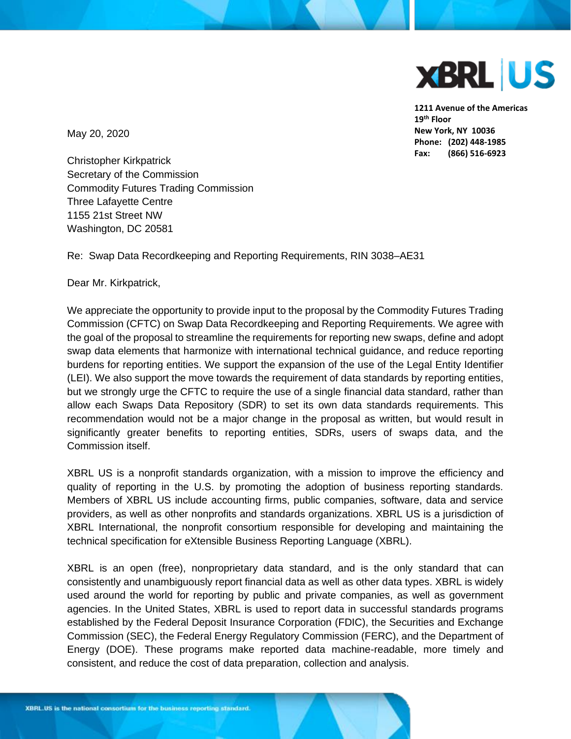

**1211 Avenue of the Americas 19th Floor New York, NY 10036 Phone: (202) 448-1985 Fax: (866) 516-6923**

May 20, 2020

Christopher Kirkpatrick Secretary of the Commission Commodity Futures Trading Commission Three Lafayette Centre 1155 21st Street NW Washington, DC 20581

Re: Swap Data Recordkeeping and Reporting Requirements, RIN 3038–AE31

Dear Mr. Kirkpatrick,

We appreciate the opportunity to provide input to the proposal by the Commodity Futures Trading Commission (CFTC) on Swap Data Recordkeeping and Reporting Requirements. We agree with the goal of the proposal to streamline the requirements for reporting new swaps, define and adopt swap data elements that harmonize with international technical guidance, and reduce reporting burdens for reporting entities. We support the expansion of the use of the Legal Entity Identifier (LEI). We also support the move towards the requirement of data standards by reporting entities, but we strongly urge the CFTC to require the use of a single financial data standard, rather than allow each Swaps Data Repository (SDR) to set its own data standards requirements. This recommendation would not be a major change in the proposal as written, but would result in significantly greater benefits to reporting entities, SDRs, users of swaps data, and the Commission itself.

XBRL US is a nonprofit standards organization, with a mission to improve the efficiency and quality of reporting in the U.S. by promoting the adoption of business reporting standards. Members of XBRL US include accounting firms, public companies, software, data and service providers, as well as other nonprofits and standards organizations. XBRL US is a jurisdiction of XBRL International, the nonprofit consortium responsible for developing and maintaining the technical specification for eXtensible Business Reporting Language (XBRL).

XBRL is an open (free), nonproprietary data standard, and is the only standard that can consistently and unambiguously report financial data as well as other data types. XBRL is widely used around the world for reporting by public and private companies, as well as government agencies. In the United States, XBRL is used to report data in successful standards programs established by the Federal Deposit Insurance Corporation (FDIC), the Securities and Exchange Commission (SEC), the Federal Energy Regulatory Commission (FERC), and the Department of Energy (DOE). These programs make reported data machine-readable, more timely and consistent, and reduce the cost of data preparation, collection and analysis.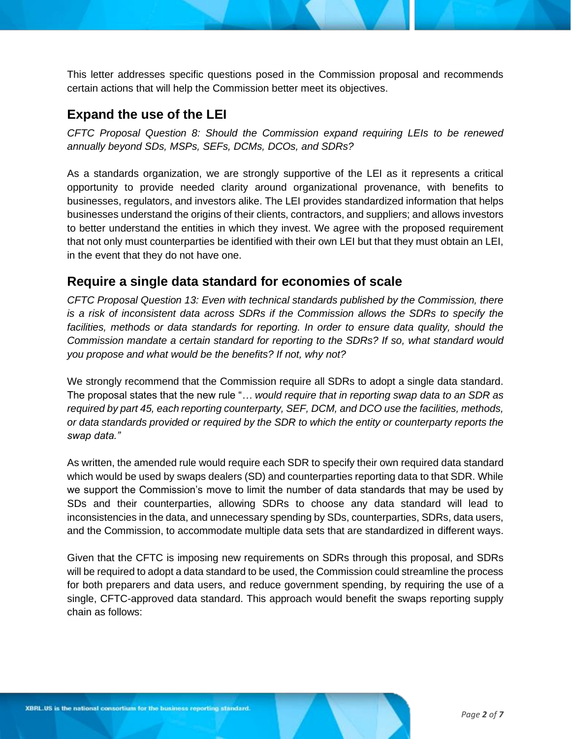This letter addresses specific questions posed in the Commission proposal and recommends certain actions that will help the Commission better meet its objectives.

### **Expand the use of the LEI**

*CFTC Proposal Question 8: Should the Commission expand requiring LEIs to be renewed annually beyond SDs, MSPs, SEFs, DCMs, DCOs, and SDRs?*

As a standards organization, we are strongly supportive of the LEI as it represents a critical opportunity to provide needed clarity around organizational provenance, with benefits to businesses, regulators, and investors alike. The LEI provides standardized information that helps businesses understand the origins of their clients, contractors, and suppliers; and allows investors to better understand the entities in which they invest. We agree with the proposed requirement that not only must counterparties be identified with their own LEI but that they must obtain an LEI, in the event that they do not have one.

# **Require a single data standard for economies of scale**

*CFTC Proposal Question 13: Even with technical standards published by the Commission, there is a risk of inconsistent data across SDRs if the Commission allows the SDRs to specify the*  facilities, methods or data standards for reporting. In order to ensure data quality, should the *Commission mandate a certain standard for reporting to the SDRs? If so, what standard would you propose and what would be the benefits? If not, why not?* 

We strongly recommend that the Commission require all SDRs to adopt a single data standard. The proposal states that the new rule "*… would require that in reporting swap data to an SDR as required by part 45, each reporting counterparty, SEF, DCM, and DCO use the facilities, methods, or data standards provided or required by the SDR to which the entity or counterparty reports the swap data."* 

As written, the amended rule would require each SDR to specify their own required data standard which would be used by swaps dealers (SD) and counterparties reporting data to that SDR. While we support the Commission's move to limit the number of data standards that may be used by SDs and their counterparties, allowing SDRs to choose any data standard will lead to inconsistencies in the data, and unnecessary spending by SDs, counterparties, SDRs, data users, and the Commission, to accommodate multiple data sets that are standardized in different ways.

Given that the CFTC is imposing new requirements on SDRs through this proposal, and SDRs will be required to adopt a data standard to be used, the Commission could streamline the process for both preparers and data users, and reduce government spending, by requiring the use of a single, CFTC-approved data standard. This approach would benefit the swaps reporting supply chain as follows: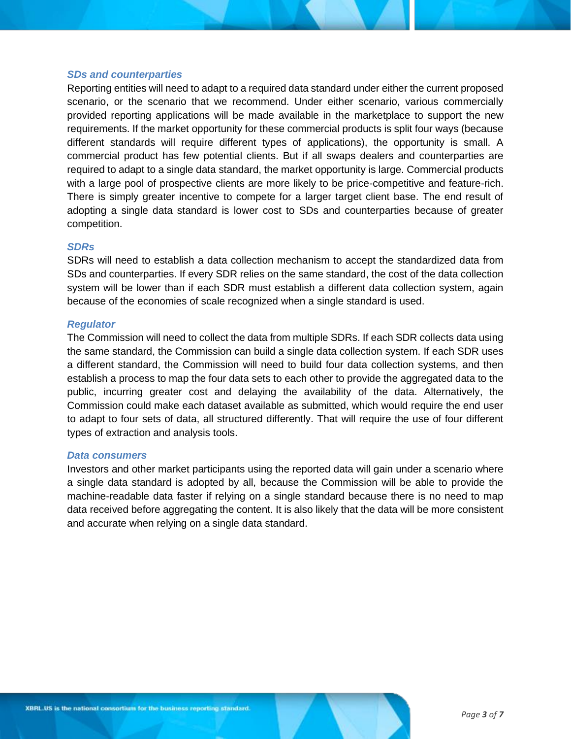#### *SDs and counterparties*

Reporting entities will need to adapt to a required data standard under either the current proposed scenario, or the scenario that we recommend. Under either scenario, various commercially provided reporting applications will be made available in the marketplace to support the new requirements. If the market opportunity for these commercial products is split four ways (because different standards will require different types of applications), the opportunity is small. A commercial product has few potential clients. But if all swaps dealers and counterparties are required to adapt to a single data standard, the market opportunity is large. Commercial products with a large pool of prospective clients are more likely to be price-competitive and feature-rich. There is simply greater incentive to compete for a larger target client base. The end result of adopting a single data standard is lower cost to SDs and counterparties because of greater competition.

#### *SDRs*

SDRs will need to establish a data collection mechanism to accept the standardized data from SDs and counterparties. If every SDR relies on the same standard, the cost of the data collection system will be lower than if each SDR must establish a different data collection system, again because of the economies of scale recognized when a single standard is used.

#### *Regulator*

The Commission will need to collect the data from multiple SDRs. If each SDR collects data using the same standard, the Commission can build a single data collection system. If each SDR uses a different standard, the Commission will need to build four data collection systems, and then establish a process to map the four data sets to each other to provide the aggregated data to the public, incurring greater cost and delaying the availability of the data. Alternatively, the Commission could make each dataset available as submitted, which would require the end user to adapt to four sets of data, all structured differently. That will require the use of four different types of extraction and analysis tools.

#### *Data consumers*

Investors and other market participants using the reported data will gain under a scenario where a single data standard is adopted by all, because the Commission will be able to provide the machine-readable data faster if relying on a single standard because there is no need to map data received before aggregating the content. It is also likely that the data will be more consistent and accurate when relying on a single data standard.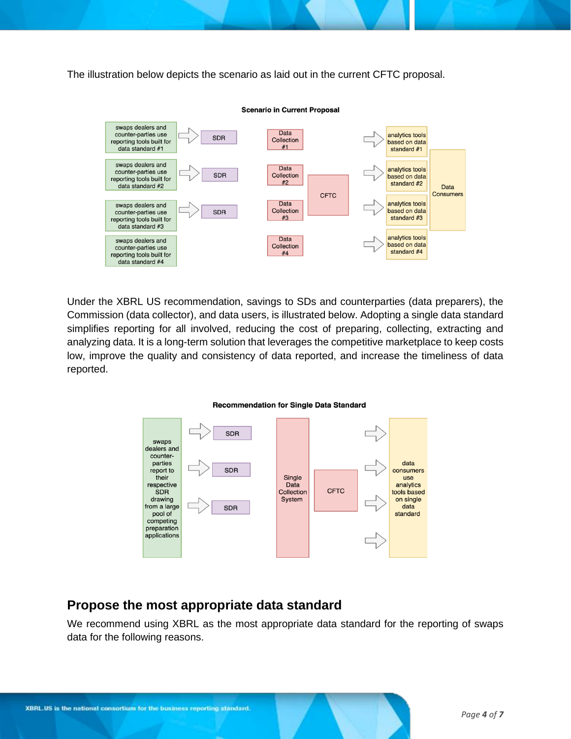The illustration below depicts the scenario as laid out in the current CFTC proposal.



Under the XBRL US recommendation, savings to SDs and counterparties (data preparers), the Commission (data collector), and data users, is illustrated below. Adopting a single data standard simplifies reporting for all involved, reducing the cost of preparing, collecting, extracting and analyzing data. It is a long-term solution that leverages the competitive marketplace to keep costs low, improve the quality and consistency of data reported, and increase the timeliness of data reported.

#### **Recommendation for Single Data Standard**



## **Propose the most appropriate data standard**

We recommend using XBRL as the most appropriate data standard for the reporting of swaps data for the following reasons.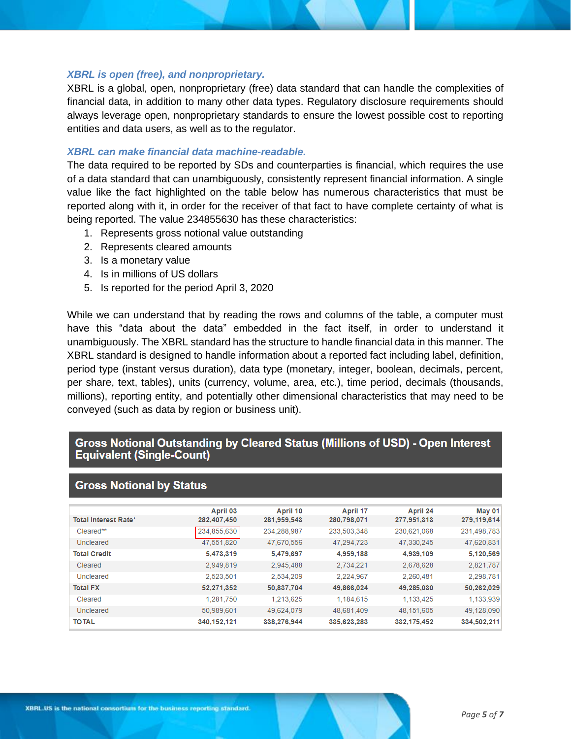#### *XBRL is open (free), and nonproprietary.*

XBRL is a global, open, nonproprietary (free) data standard that can handle the complexities of financial data, in addition to many other data types. Regulatory disclosure requirements should always leverage open, nonproprietary standards to ensure the lowest possible cost to reporting entities and data users, as well as to the regulator.

#### *XBRL can make financial data machine-readable.*

The data required to be reported by SDs and counterparties is financial, which requires the use of a data standard that can unambiguously, consistently represent financial information. A single value like the fact highlighted on the table below has numerous characteristics that must be reported along with it, in order for the receiver of that fact to have complete certainty of what is being reported. The value 234855630 has these characteristics:

- 1. Represents gross notional value outstanding
- 2. Represents cleared amounts
- 3. Is a monetary value
- 4. Is in millions of US dollars
- 5. Is reported for the period April 3, 2020

While we can understand that by reading the rows and columns of the table, a computer must have this "data about the data" embedded in the fact itself, in order to understand it unambiguously. The XBRL standard has the structure to handle financial data in this manner. The XBRL standard is designed to handle information about a reported fact including label, definition, period type (instant versus duration), data type (monetary, integer, boolean, decimals, percent, per share, text, tables), units (currency, volume, area, etc.), time period, decimals (thousands, millions), reporting entity, and potentially other dimensional characteristics that may need to be conveyed (such as data by region or business unit).

### Gross Notional Outstanding by Cleared Status (Millions of USD) - Open Interest **Equivalent (Single-Count)**

|                             | April 03    | April 10    | April 17    | April 24    | May 01      |
|-----------------------------|-------------|-------------|-------------|-------------|-------------|
| <b>Total Interest Rate*</b> | 282,407,450 | 281,959,543 | 280,798,071 | 277,951,313 | 279,119,614 |
| Cleared**                   | 234,855,630 | 234.288.987 | 233,503,348 | 230.621.068 | 231,498,783 |
| Uncleared                   | 47.551.820  | 47.670.556  | 47.294.723  | 47.330.245  | 47,620,831  |
| <b>Total Credit</b>         | 5,473,319   | 5,479,697   | 4,959,188   | 4,939,109   | 5,120,569   |
| Cleared                     | 2.949.819   | 2.945.488   | 2.734.221   | 2,678,628   | 2.821.787   |
| Uncleared                   | 2.523.501   | 2.534.209   | 2.224.967   | 2.260.481   | 2.298.781   |
| <b>Total FX</b>             | 52,271,352  | 50,837,704  | 49,866,024  | 49.285.030  | 50,262,029  |
| Cleared                     | 1,281,750   | 1,213,625   | 1,184,615   | 1,133,425   | 1,133,939   |
| Uncleared                   | 50,989,601  | 49.624.079  | 48.681.409  | 48.151.605  | 49.128.090  |
| <b>TO TAL</b>               | 340,152,121 | 338,276,944 | 335,623,283 | 332.175.452 | 334,502.211 |

#### **Gross Notional by Status**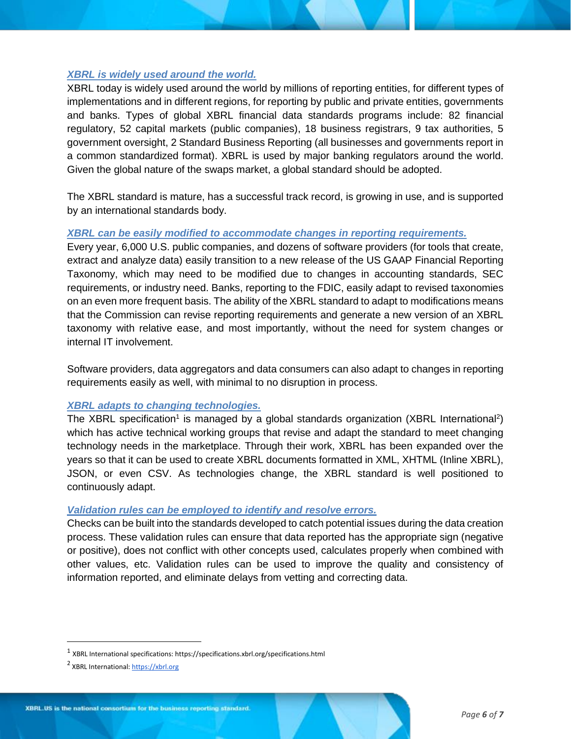#### *XBRL is widely used around the world.*

XBRL today is widely used around the world by millions of reporting entities, for different types of implementations and in different regions, for reporting by public and private entities, governments and banks. Types of global XBRL financial data standards programs include: 82 financial regulatory, 52 capital markets (public companies), 18 business registrars, 9 tax authorities, 5 government oversight, 2 Standard Business Reporting (all businesses and governments report in a common standardized format). XBRL is used by major banking regulators around the world. Given the global nature of the swaps market, a global standard should be adopted.

The XBRL standard is mature, has a successful track record, is growing in use, and is supported by an international standards body.

#### *XBRL can be easily modified to accommodate changes in reporting requirements.*

Every year, 6,000 U.S. public companies, and dozens of software providers (for tools that create, extract and analyze data) easily transition to a new release of the US GAAP Financial Reporting Taxonomy, which may need to be modified due to changes in accounting standards, SEC requirements, or industry need. Banks, reporting to the FDIC, easily adapt to revised taxonomies on an even more frequent basis. The ability of the XBRL standard to adapt to modifications means that the Commission can revise reporting requirements and generate a new version of an XBRL taxonomy with relative ease, and most importantly, without the need for system changes or internal IT involvement.

Software providers, data aggregators and data consumers can also adapt to changes in reporting requirements easily as well, with minimal to no disruption in process.

#### *XBRL adapts to changing technologies.*

The XBRL specification<sup>1</sup> is managed by a global standards organization (XBRL International<sup>2</sup>) which has active technical working groups that revise and adapt the standard to meet changing technology needs in the marketplace. Through their work, XBRL has been expanded over the years so that it can be used to create XBRL documents formatted in XML, XHTML (Inline XBRL), JSON, or even CSV. As technologies change, the XBRL standard is well positioned to continuously adapt.

### *Validation rules can be employed to identify and resolve errors.*

Checks can be built into the standards developed to catch potential issues during the data creation process. These validation rules can ensure that data reported has the appropriate sign (negative or positive), does not conflict with other concepts used, calculates properly when combined with other values, etc. Validation rules can be used to improve the quality and consistency of information reported, and eliminate delays from vetting and correcting data.

 $^1$  XBRL International specifications: https://specifications.xbrl.org/specifications.html

<sup>&</sup>lt;sup>2</sup> XBRL International[: https://xbrl.org](https://xbrl.org/)